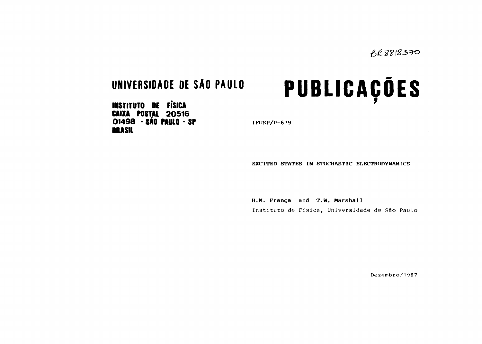**INSTITUTO DE FÍSICA CAIXA POSTAL 20516 01498 · SÃO PAULO · SP Example 1 FOSP/P-679 IRASIL**

UNIVERSIDADE DE SÃO PAULO<br> **PUBLICAÇÕES** 

**EXCITED STATES IN STOCHASTIC ELECTRODYNAMICS**

**H.M. França and T.W. Marshall** Instituto de Física, Universidade de São Pauio

Dezembro/1987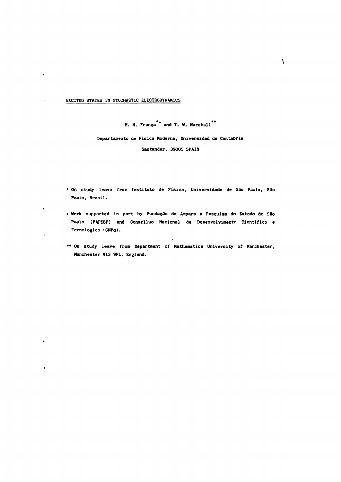**EXCITED STATES IN STOCHASTIC ELECTRODYNAMICS**

 $\ddot{\phantom{0}}$ 

 $\ddot{\phantom{0}}$ 

 $\ddot{\bullet}$ 

 $\ddot{\phantom{a}}$ 

 $\bullet$ 

 $\cdot$ 

**H. N. França\*\* and T. W. Marshall\*\***

**Departamento de Física Moderna, Universidad de Car.tabria Santander, 39005 SPAIN**

- **\* On study leave from Instituto de Física, Universidade de São Paulo, São Paulo, Brasil.**
- **+ Work supported in part by Fundação de Amparo a Pesquisa do Estado de São Paulo (FAPESP) and Conaelluo Nacional de Desenvolvimento Cientifico e Tecnológico (CNPq).**
- **\*\* On study leave from Department of Mathematics University of Manchester, Manchester HI3 9PL, England.**

 $\overline{\phantom{a}}$ 

 $\mathbb{R}^2$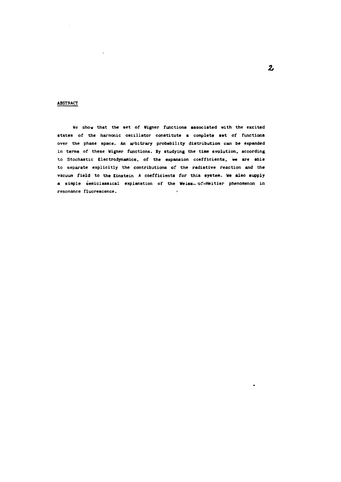## **ABSTRACT**

**We show that the set of Wigner functions associated with the excited states of the harmonic oscillator constitute a complete set of functions over the phase space. An arbitrary probability distribution can be expanded in terms of these Wigner functions. By studying the time evolution, according to Stochastic Electrodynamics, of the expansion coefficients, we are able to separate explicitly the contributions of the radiative reaction and the vacuum field to the Einstein A coefficients for this system. We also supply a simple semiclassical explanation of the Weiss., of-Heitler phenomenon in resonance fluorescence.**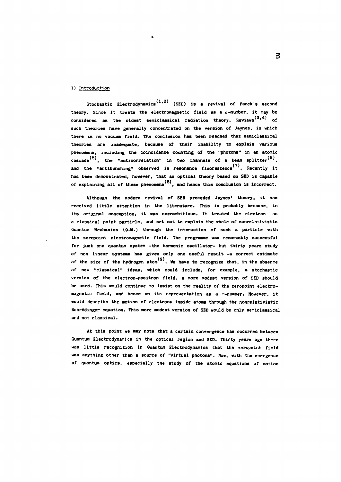#### **I) Introduction**

**(1 2) Stochastic Electrodynamics ' (SED) is a revival of Panck's second theory. Since it treats the electromagnetic field as a c-number, it may be** considered as the oldest semiclassical radiation theory. Reviews<sup>(3,4)</sup> of **such theories have generally concentrated on the version of Jaynes, in which there is no vacuum field. The conclusion has been reached that semiclassical theories are inadequate, because of their inability to explain various phenomena, including the coincidence counting of the "photons" in an atomic** cascade<sup>(5)</sup>, the "anticorrelation" in two channels of a beam splitter<sup>(6)</sup>, and the "antibunching" observed in resonance fluorescence<sup>(7)</sup>. Recently it **has been demonstrated, however, that an optical theory based on SED is capable** of explaining all of these phenomena<sup>(8)</sup>, and hence this conclusion is incorrect.

**Although the modern revival of SED preceded Jaynes' theory, it has received little attention in the literature. This is probably because, in its original conception, it was overambitious. It treated the electron as a classical point particle, and set out to explain the whole of nonrelativistic Quantum Mechanics (Q.M.) through the interaction of such a particle with the zeropoint electromagnetic field. The programme was remarkably successful for just one quantum system -the harmonic oscillator- but thirty years study of non linear systems has given only one useful result -a correct estimate** of the size of the hydrogen atom<sup>(9)</sup>. We have to recognize that, in the absence **of new "classical" ideas, which could include, for example, a stochastic version of the electron-positron field, a more modest version of SED should be used. This would continue to insist on the reality of the zeropoint electro**magnetic field, and hence on its representation as a c-number. However, it would describe the motion of electrons inside atoms through the nonrelativistic Schrödinger equation. This more modest version of SED would be only semiclassical **and not classical.**

**At this point we may note that a certain convergence has occurred between Quantum Electrodynamics in the optical region and SED. Thirty years ago there was little recognition in Quantum Electrodynamics that the zeropoint field was anything other than a source of "virtual photons". Now, with the emergence of quantum optics, especially the study of the atomic equations of motion**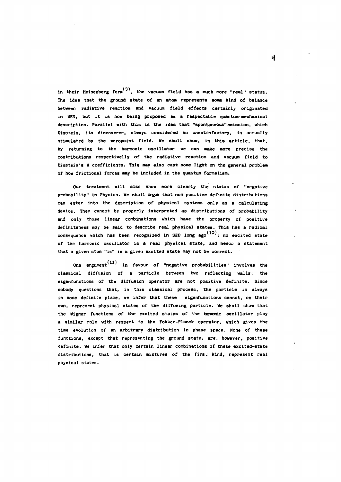in their Heisenberg form<sup>(3)</sup>, the vacuum field has a much more "real" status. **The idea that the ground state of an atom represents some kind of balance between radiative reaction and vacuum field effects certainly originated in SED, but it is now being proposed as a respectable quantum-mechanical description. Parallel with this is the idea that "spontaneous"emission, which Einstein, its discoverer, always considered so unsatisfactory, is actually stimulated by the zeropoint field. We shall show, in this article, that,** by returning to the harmonic oscillator we can make more precise the **contributions respectivelly of the radiative reaction and vacuum field to Einstein's A coefficients. This may also cast some light on the general problem of how frictional forces may be included in the quantum formalism.**

**Our treatment will also show more clearly the status of "negative probability" in Physics. We shall arpje that non positive definite distributions can enter into the description of physical systems only as a calculating device. They cannot be properly interpreted as distributions of probability and only those linear combinations which have the property of positive definiteness may be said to describe real physical states. This has a radical** consequence which has been recognized in SED long ago<sup>(10)</sup>: no excited state **of the harmonic oscillator is a real physical state, and hence a statement that a given atom "is" in a given excited state may not be correct.**

One argument<sup>(11)</sup> in favour of "negative probabilities" involves the classical diffusion of a particle between two reflecting walls; the **eigenfunctions of the diffusion operator are not positive definite. Since nobody questions that, in this classical process, the particle is always in some definite place, we infer that these eigenfunctions cannot, on their own, represent physical states of the diffusing particle. We shall show that the Vigner functions of the excited states of the harmonic oscillator play a similar role with respect to the Fokker-Planck operator, which gives the time evolution of an arbitrary distribution in phase space. None of these functions, except that representing the ground state, are, however, positive definite. We infer that only certain linear combinations of these excited-state distributions, that is certain mixtures of the firs; kind, represent real physical states.**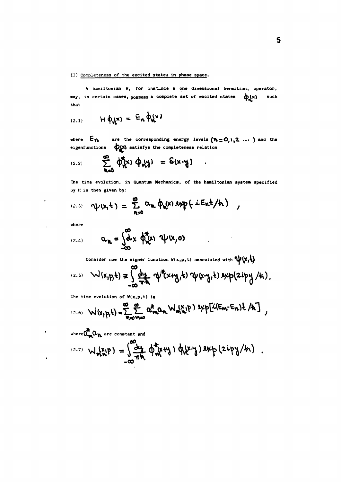# II) Completeness of the **excited states in phase space.**

 $\ddot{\phantom{a}}$ 

**A hamiltonian H, for instance a one dimensional hermitian, operator,** may, in certain cases, possess a complete set of excited states  $\phi(x)$  such that

$$
H(\phi_{\mathbf{A}}\mathbf{x}) = E_{\mathbf{A}} \phi_{\mathbf{A}}\mathbf{x}
$$

where  $E_{\nu}$  are the corresponding energy levels  $(\nu=0,1,2, ...)$  and the eigenfunctions  $\phi(x)$  satisfys the completeness relation

(2.2) 
$$
\sum_{n=0}^{\infty} \phi_{n}^{*}(x) \phi_{n}(y) = \delta(x-y)
$$

The **time evolution, in Quantum Mechanics, of the haniltonian system specified oy H is then given by:**

$$
P(X_1,Y_1)=\sum_{n=0}^{\infty}\alpha_n\,\varphi_n(x)\, \text{exp}\left(-\text{iEnt}/\text{h}\right),
$$

**where**

 $\ddot{\phantom{a}}$ 

 $\mathbf{r}$ 

 $\bullet$ 

$$
\begin{array}{ccc}\n\text{(2.4)} & \mathbf{Q}_{\mathbf{W}} = \int_{-\infty}^{\infty} \mathbf{d} \times \phi_{\mathbf{W}}^{\mathbf{X}}(\mathbf{x}) \, \mathbf{Q}(\mathbf{x}, \mathbf{0})\n\end{array}
$$

Consider now the Wigner function  $W(x,p,t)$  associated with  $\psi(x,t)$ 

 $\sim$ 

 $\bullet$ 

 $\mathbf{r}$ 

(2.5) 
$$
W(x,p,t) \equiv \int_{-\infty}^{\infty} \frac{dy}{\pi h} \psi^{\dagger}(x+y,t) \psi(x-y,t) \exp(2ipy/k)
$$
.

**The time evolution of W(x,p,t) is**

(2.6) 
$$
W(x_1p,t) = \sum_{n=0}^{\infty} \sum_{m=0}^{\infty} \alpha_m^k \alpha_m W_m^k p
$$
 )  $2\pi p[\lambda(E_m-E_n)t /h]$ 

**are constant and**

(2.7) 
$$
W_{\mathbf{m},\mathbf{w}}^{(\mathbf{x},\mathbf{p})} = \int_{-\infty}^{\infty} \frac{d\mathbf{p}}{\pi \mathbf{w}} \, \varphi_{\mathbf{m}}^{\mathbf{x}}(\mathbf{w},\mathbf{w}) \, \varphi_{\mathbf{w}}(\mathbf{x},\mathbf{y}) \, \exp\left(2i\mathbf{p}\mathbf{y}/\mathbf{h}\right)
$$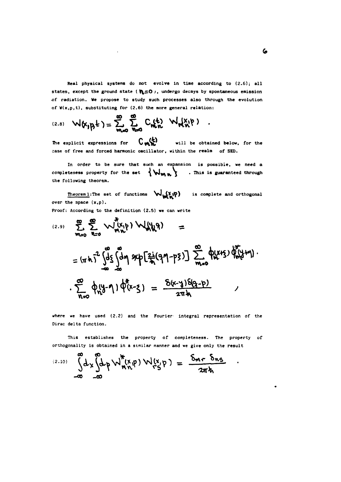**Real physical systems do not evolve in time according to (2.6); all** states, except the ground state ( $\mathbf{N=0}$ ), undergo decays by spontaneous emission **of radiation. We propose to study such processes also through the evolution of W(x,p,t), substituting for (2.6) the more general relation:**

(2.8) 
$$
W(x_1p_1t) = \sum_{m=0}^{\infty} \sum_{n=0}^{\infty} C_n(t) W_n(x_1p)
$$

 $\sim 10$ 

**The explicit expressions for**  $\binom{k}{m}$  **wil 1 b <sup>e</sup> obtained below, for the case of free and forced harmonic oscillator, within the realm of SED.**

**In order to be sure that such an expansion is possible, we need a** completeness property for the set  $\{W_{\mathbf{M},\mathbf{M}}\}$  . This is guaranteed through **the following theorem.**

Theorem 1: The set of functions  $\bigvee_{u \in M} X_{u} \phi$  is complete and orthogonal **over the space (x,p).**

**Proof: According to the definition (2.5) we can write**

$$
\sum_{m=0}^{\infty} \sum_{n=0}^{\infty} \frac{1}{n} \left( \frac{x}{y} + y \right) W_{n}(y) =
$$
\n
$$
= (\pi h)^{2} \int_{-\infty}^{\infty} \int_{-\infty}^{\infty} \int_{-\infty}^{\infty} dm \exp \left[ \frac{2i}{\pi} (9\eta - p\zeta) \right] \sum_{m=0}^{\infty} \Phi(x + \zeta) \Phi(x + \eta).
$$
\n
$$
\sum_{n=0}^{\infty} \Phi(x - \eta) \Phi(x - \zeta) = \frac{5(x - y) \delta(9 - p)}{2\pi h}
$$

**where we have used (2.2) and the Fourier integral representation of the Dirac delta function.**

**This establishes the property of completeness. The property of orthogonality is obtained in a similar manner and we give only the result**

$$
\int_{-\infty}^{\infty} dx \int_{-\infty}^{\infty} dp \, \mathsf{W}_{m,n}^{\star}(\mathsf{x},\mathsf{p}) \, \mathsf{W}_{\mathsf{r},\mathsf{S}}^{\star}(\mathsf{x}) = \frac{\delta_{mr} \, \delta_{ns}}{2\pi\hbar}
$$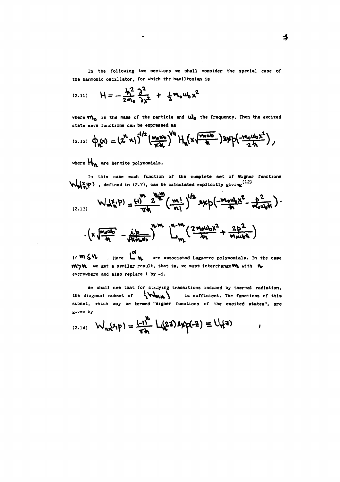**In the following two sections we shall consider the special case of the harmonic oscillator, for which the haniltonian is**

(2.11) 
$$
H = -\frac{h^2}{2m_0} \frac{\partial^2}{\partial x^2} + \frac{1}{2} m_0 u_0 x^2
$$

where  $\mathbf{W}_{\mathbf{m}}$  is the mass of the particle and  $\mathbf{W}_{\mathbf{0}}$  the frequency. Then the excited **state wave functions can be expressed as**

(2.12) 
$$
\phi_n(x) = (z^n x!)^{\frac{1}{2}} \left(\frac{m_0 w_0}{\pi \lambda} \right)^{1/4} H_n(x \sqrt{\frac{m_0 w_0}{\lambda}}) \frac{1}{2} \phi(-\frac{m_0 w_0 x^2}{2 \lambda})
$$

**where Hyi ar <sup>e</sup> Her mite polynomials.**

**In this case each function of the complete set of Wigner functions , defined in (2.7), can be calculated explicitly giving'<sup>12</sup>'**

$$
W_{m,n}^{(x,p)} = \frac{(1)^{m} 2^{\frac{m}{2}}}{\pi n} \left(\frac{m!}{n!}\right)^{1/2} exp\left(-\frac{m_0 u_0 x^2}{n} - \frac{p^2}{m_0 u_0 n}\right).
$$

$$
\frac{1}{4}\left(x\sqrt{\frac{m_0\omega_0}{h_1}}-\frac{1}{\sqrt{h_1h_0\omega_0}}\right)^{h-m}\left(\frac{n-m}{h_1}\left(\frac{2m_0\omega_0x^2}{h_1}+\frac{2b^2}{m_0\omega_0k}\right)\right)
$$

if  $m \leq w$ . Here  $\begin{bmatrix} a \\ b \end{bmatrix}$  are associated Laguerre polynomials. In the case **Here are studied B.** In the construct interchange **W.** with **W. everywhere and also replace i by -i.** 

**We Bhall see that for studying transitions induced by thermal radiation,** the diagonal subset of  $\{W_{\mathbf{M},\mathbf{R}}\}$  is sufficient. The functions of this **subset, which may be termed "Wigner functions of the excited states", are given by**

$$
W_{n,k}(x, p) = \frac{(-1)^k}{Tk} L_{n,k}(2z) \exp(-z) \equiv U_{n,k}(z)
$$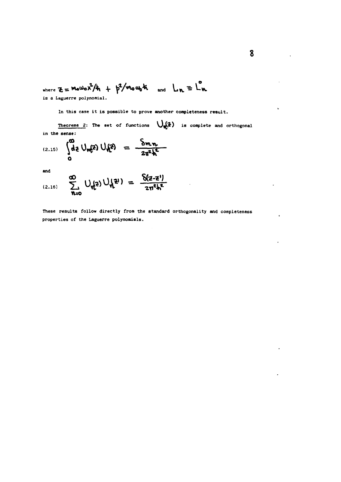where 
$$
z = \text{MeWoX}^2/k_1 + p^2/\text{MeW}_0 k_1
$$
 and  $L_n = L_n$  is a Laguerre polynomial.

**In this case it is possible to prove another completeness result.**

**Theoreme 2:** The set of functions  $\bigcup_{n\in\mathbb{Z}}\{2\}$  is complete and orthogonal **in the sense:**

(2.15) 
$$
\int_{0}^{\infty} d\vec{z} \cup_{m\vec{k}} \vec{z} \cup \int_{0}^{\infty} d\vec{z} = \frac{\delta_{m,n}}{2\pi^{2}h^{2}}
$$

**and**

$$
\sum_{(2.16)}^{\text{min}} \quad \sum_{n=0}^{\infty} \ \bigcup_{k \in \mathbb{Z}} \bigcup_{k \geq 0} \bigcup_{k \geq 1} \mathbb{Z}^{\{1\}} = \frac{\delta(z-z^{\prime})}{z\pi^2k^2}
$$

**These results fallow directly from the standard orthogonality and completeness properties of the Laguerre polynomials.**

 $\sim$  .

l.

k,

 $\cdot$ 

 $\cdot$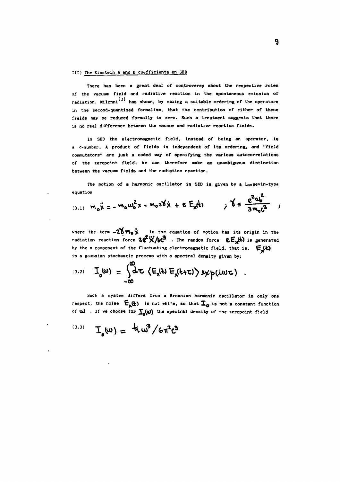### **Ill) The Einstein A and B coefficients en 5ED**

**There has been a great deal of controversy about the respective roles of the vacuum field and radiative reaction in the spontaneous emission of** radiation. Milonni<sup>(3)</sup> has shown, by making a suitable ordering of the operators **in the second-quantized formalism, that the contribution of either of these fields may be reduced formally to zero. Such a treatment suggests that there is no real difference between the vacuum and radiative reaction fields.**

**In SED the electromagnetic field, instead of being an operator, is a c-number. A product of fields is independent of its ordering, and "field commutators" are just a coded way of specifying the various autocorrelations of the zeropoint field. We can therefore make an unambiguous distinction between the vacuum fields and the radiation reaction.**

**The motion of a harmonic oscillator in SED is given by a Langevin-type equation**  $2.12$ 

(3.1) 
$$
m_0 \ddot{x} = -m_0 \omega_0^2 x - m_0 z \dot{b} \dot{x} + \varepsilon E_x(t) \qquad \dot{y} \dot{\delta} = \frac{e^2 \omega_0^2}{3 m_0 c^3} \qquad y
$$

where the term **-20**  $\mathbf{w}_0$  in the equation of motion has its origin in the radiation reaction force  $2e^2 \times 10^{-3}$  . The random force  $eE_{x}^{(k)}$  is generated **by the x component of the fluctuating electromagnetic field, that is, is a gaussian stochastic process with a spectral density given by:**

(3.2) 
$$
I_o(\omega) = \int_{-\infty}^{\infty} d\tau \left( E_x(\epsilon) E_x(\epsilon+\tau) \right) s x p(i\omega \tau).
$$

**Such a system differs from a Brownian harmonic oscillator in only one** respect; the noise  $E_{\mathbf{x}}(t)$  is not white, so that  $\mathbf{I}_{\mathbf{o}}$  is not a constant function of **W**. If we choose for  $\textbf{I}_{\text{a}}(w)$  the spectral density of the zeropoint field

$$
^{(3.3)}\quad T_e(\omega) = \frac{1}{2} \pi \omega^3 / 6 \pi^2 c^3
$$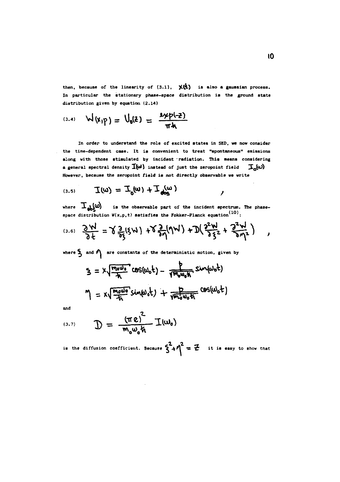then, because of the linearity of  $(3.1)$ ,  $\mathsf{X}(t)$  is also a gaussian process. **In particular the stationary phase-space distribution is the ground state distribution given by equation (2.14)**

(3.4) 
$$
W(x_1 p) = U_0(z) = \frac{2x p(-z)}{\pi k}
$$

**In order to understand the role of excited states in SED, we now consider the time-dependent case. It is convenient to treat "spontaneous" emissions** along with those stimulated by incident radiation. This means considering **a general spectral density**  $\overline{I}(\omega)$  instead of just the zeropoint field  $\overline{I}_n(\omega)$ **However, because the zeropoint field is not directly observable we write**

$$
\mathcal{I}(\omega) = \mathcal{I}_0(\omega) + \mathcal{I}_4(\omega)
$$

where  $\mathbf{I}_{\text{ob}}(\omega)$ is the observable part of the incident spectrum. The phase **space distribution W(x,p,t) satisfies the Fokker-Planck equation\*<sup>10</sup>':**

$$
(3.6) \quad \frac{\partial \mathcal{M}}{\partial t} = \gamma \frac{\partial}{\partial \xi} (\xi \mathcal{W}) + \gamma \frac{\partial}{\partial \eta} (\eta \mathcal{W}) + \mathcal{D} (\frac{\partial^2 \mathcal{W}}{\partial \xi^2} + \frac{\partial^2 \mathcal{W}}{\partial \eta^2}) ,
$$

where  $\sum$  and  $\sum$  are constants of the deterministic motion, given by

 $\bullet$ 

$$
S = X \sqrt{\frac{m_0 \omega_0}{\hbar}} cos(\omega_0 t) - \frac{P}{\sqrt{m_0 \omega_0 \hbar}} sin(\omega_0 t)
$$
  

$$
M = X \sqrt{\frac{m_0 \omega_0}{\hbar}} sin(\omega_0 t) + \frac{P}{\sqrt{m_0 \omega_0 \hbar}} cos(\omega_0 t)
$$

**and**

$$
(\text{3.7}) \qquad \mathcal{D} = \frac{(\pi e)^{2}}{m_{o} \omega_{o} \hbar} \mathcal{I}(\omega_{o})
$$

is the diffusion coefficient. Because  $S^2 + \eta^2 = Z$  it is easy to show that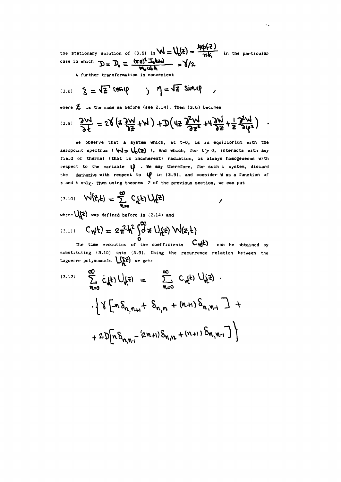the stationary solution of (3.6) is  $W = V_0$  $\epsilon$ ) =  $\frac{W}{\pi k}$  in the particular  $\frac{1}{2}$  case in which  $\mathcal{D} = \mathcal{D} = (\mathbf{TE})^2$ **1** 

A further transformation is convenient

$$
(3.8) \quad \xi = \sqrt{z} \text{ (6S)} \qquad \text{)} \quad \eta = \sqrt{z} \text{ sin } \theta
$$

where  $\overline{z}$ , is the same as before (see 2.14). Then (3.6) becomes

$$
(\text{3.9}) \quad \frac{\partial \mathcal{H}}{\partial t} = 2\sqrt{2\frac{3\pi}{4}} + M \frac{1}{2} \mathcal{D} \left( 4\frac{3\pi}{4} + 4\frac{3\pi}{4} + \frac{1}{2} \frac{3\pi}{4} \right) \quad .
$$

We observe that a system which, at t=0, is in equilibrium with the zeropoint spectrum ( $\forall \exists \subseteq \bigcup_{n} (\exists)$ ), and which, for t o, interacts with any field of thermal (that is incoherent) radiation, is always homogeneous with respect to the variable  $\psi$  . We may therefore, for such a system, discard the derivative with respect to  $\psi$  in (3.9), and consider W as a function of z and t only. Then using theorem 2 of the previous section, we can put

$$
(3.10) \quad W(z,t) = \sum_{n=0}^{\infty} C_n(t) U_n(z)
$$

where  $\bigcup_i$  and defined before in (2.14) and

$$
(3.11) \quad C_{\eta}(t) = 2\pi^2 h^2 \int_0^{\infty} d\vec{z} \; U_{\eta}(z) \; W(z,t)
$$

The time evolution of the coefficients  $C_{\mathbf{N}}(k)$  can be obtained by substituting (3.10) into (3.9). Using the recurrence relation between the

Laguerre polynomials 
$$
L_{h}^{(2)}
$$
 ve get:  
\n(3.12) 
$$
\sum_{n=0}^{\infty} C_{n}(t) U_{h}^{(2)} = \sum_{n=0}^{\infty} C_{n}(t) U_{h}^{(2)} + \frac{1}{2} \int_{\frac{\ln n}{n}} \left[ -n \delta_{n,n+1} + \delta_{n,n} + (n+1) \delta_{n,n+1} \right] + 2 \mathbb{D}[n \delta_{n,n+1} - (2n+1) \delta_{n,n} + (n+1) \delta_{n,n-1} \right]
$$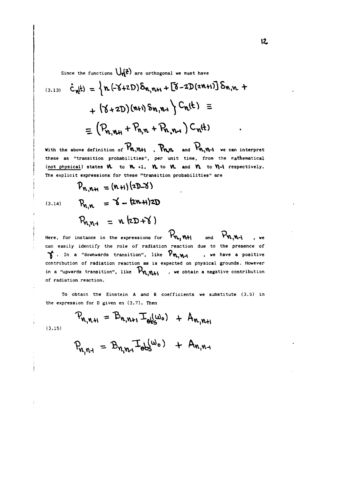Since the functions  $\bigcup_{n=0}^{\infty}$  are orthogonal we must have

$$
\begin{aligned}\n\text{(3.13)} \quad \dot{C}_{n}(t) &= \left\{ n. \left( -\text{X+2D} \right) \delta_{n,n+1} + \left[ \text{X} - 2 \text{D} (2n+1) \right] \delta_{n,n+1} + \right. \\
&\quad + \left( \text{X} + 2 \text{D} \right) (n+1) \delta_{n,n-1} \left\} \text{C}_{n}(t) &= \\
&\quad = \left( P_{n,n+1} + P_{n,n} + P_{n,n-1} \right) \text{C}_{n}(t) \quad .\n\end{aligned}
$$

With the above definition of  $\mathcal{P}_{\mathbf{M},\mathbf{M+1}}$ ,  $\mathcal{P}_{\mathbf{M},\mathbf{M}}$  and  $\mathcal{P}_{\mathbf{M},\mathbf{M-1}}$  we can interpret these as "transition probabilities", per unit time, from the mathematical (not physical) states  $V$  to  $V_0$  +1,  $V_1$  to  $V_2$  and  $V_3$  to  $V_1$ -1 respectively. The explicit expressions for these "transition probabilities" are

 $(3.14)$ 

$$
P_{n,n+1} = (n+1)(2D-8)
$$
  
\n
$$
P_{n,n} = 6 - (2n+1)2D
$$
  
\n
$$
P_{n,n+1} = n (2D+8)
$$

Here, for instance in the expressions for  $\mathcal{P}_{\mathbf{u}_1}$   $\mathbf{u}_{+1}$ and  $P_{\mathbf{v},\mathbf{v}\mathbf{-i}}$ , we can easily identify the role of radiation reaction due to the presence of  $\gamma$ . In a "downwards transition", like  $\mathcal{P}_{\mathfrak{n}_{\ell},\mathfrak{n}_{\ell}\mathfrak{l}_{\ell}}$ we have a positive contribution of radiation reaction as is expected on physical grounds. However in a "upwards transition", like  $\mathcal{V}_{\mathbf{n},\mathbf{N+1}}$  , we obtain a negative contribution of radiation reaction.

To obtain the Einstein A and B coefficients we substitute (3.5) in the expression for D given en (3.7). Then

$$
P_{n_1n_2n_1} = B_{n_1n_2n_1} \mathcal{I}_{\theta_{0s}^{(1)}}(w_0) + A_{n_1n_1}
$$

(3.15)

$$
P_{n_1n_1} = B_{n_1n_1}I_{obs}(\omega_0) + A_{n_1n_1}
$$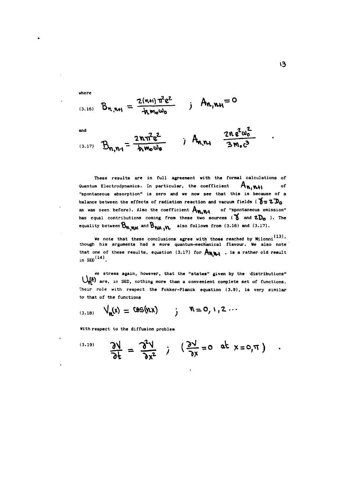(3.16) 
$$
B_{n,n+1} = \frac{2(n+1)\pi^2 e^2}{\hbar m_0 \omega_0}
$$
 ;  $A_{n,n+1} = 0$ 

an A

**where**

$$
B_{n,n-1} = \frac{2n\pi^{2}e^{2}}{4nm_{0}\omega_{0}} \qquad ; \qquad A_{n,n+1} = \frac{2n e^{2}\omega_{0}^{2}}{3m_{0}c^{3}}
$$

**These results are in full agreement with the formal calculations of** Quantum Electrodynamics. In particular, the coefficient  $A_{\mathbf{w},\mathbf{w},\mathbf{w}}$  **o f "spontaneous absorption" is zero and we now see that this is because of a** balance between the effects of radiation reaction and vacuum fields ( $\delta = 2D_0$ **as was seen before). Also the coefficient A^fU l <sup>o</sup> <sup>f</sup> "spontaneous emission"** has equal contributions coming from these two sources ( $\gamma$  and  $2D_0$ ). The equality between  $B_{n,m,n}$  and  $B_{n,m,n}$  also follows from (3.16) and (3.17).

**We note that these conclusions agree with those reached by Milonni though his arguments had a more quantum-mechanical flavour. We also note that one of these results, equation (3.17) for**  $A_{W,M}$ **, is a rather old resul in SED(14).**

**We stress again, however, that the "states" given by the distributions" are, in SED, nothing more than a convenient complete set of functions. Their role with respect the Fokker-Planck equation (3.9), is very similar to that of the functions**

$$
V_{n}(x) = \text{US}(nx) \quad ; \quad n = 0, 1, 2 \cdots
$$

**With respect to the diffusion problem**

$$
\frac{\partial V}{\partial t} = \frac{\partial^2 V}{\partial x^2} \qquad \qquad \left(\frac{\partial V}{\partial x} = 0 \quad \text{at } x = 0, \pi \right)
$$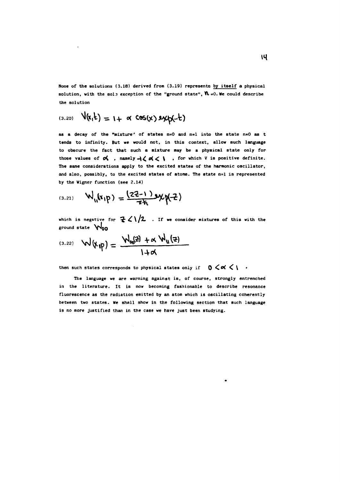**None of the solutions (3.18) derived from (3.19) represents by itself a physical** solution, with the sole exception of the "ground state",  $N = 0$ . We could describe **the solution**

$$
(\text{3.20}) \quad V(x,t) = 1 + \alpha \cos(x) \exp(-t)
$$

**as a decay of the "mixture' of states n=0 and n=l into the state n=0 as t tends to infinity. But we would not, in this context, allow such language to obscure the fact that such a mixture may be a physical state only for** those values of  $\alpha$ , namely  $\neg \zeta \alpha \zeta$ , for which V is positive definite. **The same considerations apply to the excited states of the harmonic oscillator, and also, possibly, to the excited states of atoms. The state n=l is represented by the Wigner function (see 2.14)**

$$
(3.21) \qquad W_{11}(x_1p) = \frac{(22-1) \, 3 \, x \, p(-2)}{\pi h}
$$

which is negative for  $\frac{2}{\epsilon} \leq 1/2$  . If we consider mixtures of this with the **ground state \f\*0O**

$$
E_{(3.22)} \quad \mathcal{W}(\mathbf{x}_{1} \mathbf{p}) = \frac{\mathcal{W}_{\mathbf{00}}(z) + \alpha \mathcal{W}_{\mathbf{0}}(z)}{1+\alpha}
$$

then such states corresponds to physical states only if  $0 \leq \alpha \leq 1$ .

**The language we are warning against is, of course, strongly entrenched in the literature. It is now becoming fashionable to describe resonance fluorescence as the radiation emitted by an atom which is oscillating coherently between two states. We shall show in the following section that such language is no more justified than in the case we have just been studying.**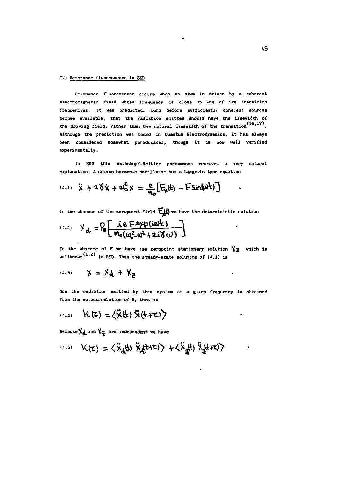### **IV) Resonance fluorescence in SEP**

**Resonance fluorescence occurs when an atom is driven by a coherent electromagnetic field whose frequency is close to one of its transition frequencies. It was predicted, long before sufficiently coherent sources became available, that the radiation emitted should have the linewidth of** the driving field, rather than the natural linewidth of the transition<sup>(16,17)</sup>. **Although the prediction was based in Quantum Electrodynamics, it has always been considered somewhat paradoxical, though it is now well verified experimentally.**

**In SED this Weisskopf-Heitler phenomenon receives a very natural explanation. A driven harmonic oscillator has a Langevin-type equation**

(4.1) 
$$
\ddot{x} + 2\dot{\delta}\dot{x} + \omega_0^2 x = \frac{e}{M_0} [E_x(t) - F\sin(\omega t)]
$$

In the absence of the zeropoint field  $\mathbb{E}^{H}_{\mathbb{R}}$  we have the deterministic solution

$$
A_{d} = R_0 \left[ \frac{ie Fxyp(i\omega k)}{m_0(\omega_0^2 - \omega^2 + 2i\delta \omega)} \right]
$$

In the absence of  $F$  we have the zeropoint stationary solution  $\chi_{\mathbb{Z}}$  which is wellknown<sup>(1,2)</sup> in SED. Then the steady-state solution of (4.1) is

 $\ddot{\phantom{1}}$ 

$$
A_{(4,3)} \qquad \chi = \chi_d + \chi_g
$$

**Now the radiation emitted by this system at a given frequency is obtained from the autocorrelation of x, that is**

**(4.4,**

Because  $\chi$  and  $\chi$  are independent we have

(4.5) 
$$
K(\tau) = \langle \ddot{x}_{\underline{d}}(t) \ddot{x}_{\underline{d}}(t+\tau) \rangle + \langle \ddot{x}_{\underline{d}}(t) \ddot{x}_{\underline{d}}(t+\tau) \rangle
$$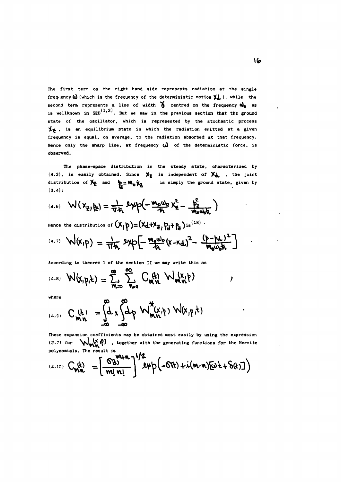**The first term on the right hand side represents radiation at the single** frequency  $\omega$  (which is the frequency of the deterministic motion  $\chi$ ), while the **second term represents a line of width Q centred on the frequency d)o as** is wellknown in  $\text{SED}^{(1,2)}$ . But we saw in the previous section that the ground **state of the oscillator, which is represented by the stochastic process y ^ , is an equilibrium 3tate in which the radiation emitted at a given frequency is equal, on average, to the radiation absorbed at that frequency. Hence only the sharp line, at frequency (>} of the deterministic force, is observed.**

**The phase-space distribution in the steady state, characterized by**  $(4.3)$ , is easily obtained. Since  $X_{\frac{1}{2}}$  is independent of  $X_{\frac{1}{2}}$ , the joint **distribution of**  $\mathbf{X}_{\mathbf{Z}}$  **and**  $\mathbf{Y}_{\mathbf{Z}} = \mathbf{W}_{\mathbf{G}} \mathbf{X}_{\mathbf{Z}}$  **is simply the ground state, given by (3.4):**

(4.6) 
$$
W(X_{\frac{1}{2}}, \frac{h}{k}) = \frac{1}{\pi h} \exp(-\frac{m_0 \omega_0}{h} X_{\frac{2}{2}}^2 - \frac{h_2^2}{m_0 \omega_0 h})
$$

Hence the distribution of  $(X, \beta) = (X_d + X_d, P_d + P_d)$  is <sup>(18)</sup>.

$$
f^{(4.7)} \quad W(x,p) = \frac{1}{\pi h} \, 3x p \left[ - \frac{m_0 w_0}{h} (x - x_d)^2 - \frac{(p - p_d)^2}{m_0 w_0 h} \right]
$$

**According to theorem 1 of the section II we may write this as**

$$
F^{(4.8)} \mathsf{W}(x, p, k) = \sum_{m=0}^{\infty} \sum_{n=0}^{\infty} C_{m,n}^{(k)} \mathsf{W}(x, p)
$$

**where**

$$
C_{mn}^{(4,s)} C_{mn}^{(k)} = \int_{-\infty}^{\infty} x \int_{-\infty}^{\infty} dp \mathsf{W}_{mn}^{*}(x, \eta) \mathsf{W}(x, \eta, k)
$$

**These expansion coefficients may be obtained most easily by using the expression (2.7) for \\*J«^'<sup>C</sup> f ) . together with the generating functions for the Hermite polynomials. The result is**

$$
F_{m,n}^{(4,10)} C_{m,n}^{(4)} = \left[ \frac{G_{n}^{(4)} m n!}{m! n!} \right]^{1/2} \exp \left( -G_{n}^{(4)} + i (m \cdot n) [\omega + S_{n}^{(4)}] \right)
$$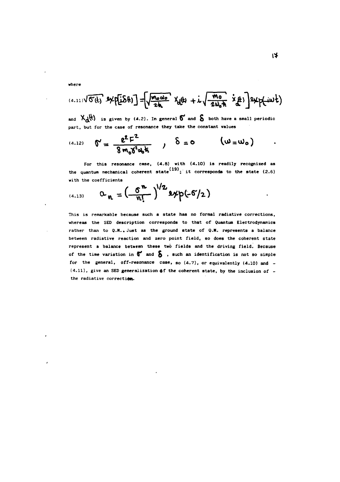**where**

$$
(4.11)\sqrt{C(t)} \cdot 9 \times p[i\delta(t)] = \sqrt{\frac{m_0 \omega_0}{2h}} \cdot \chi_{d(t)} + i \sqrt{\frac{m_0}{2\omega_0 h}} \cdot \chi_{d(t)}^2
$$

and  $X_A(t)$  is given by (4.2). In general  $\delta$  and  $\delta$  both have a small periodic **part, but for the case of resonance they take the constant values**

(4.12) 
$$
\mathbf{N} = \frac{e^2 F^2}{8 m_0 \delta^2 \omega_0 k}
$$
,  $\delta = 0$   $(\omega = \omega_0)$ 

the quantum mechanical coherent state<sup>(19)</sup>; it corresponds to the state (2.6) **For this resonance case, (4.8) with (4.10) is readily recognized as with the coefficients**

$$
a_{n} = \left(\frac{6^{n}}{n!}\right)^{1/2} \exp(-6/2)
$$

**This is remarkable because such a state has no formal radiative corrections, whereas the SED description corresponds to that of Quantum Electrodynamics** rather than to Q.M..Just as the ground state of Q.M. represents a balance **between radiative reaction and zero point field, so does the coherent state represent a balance between these two fields and the driving field. Because of the time variation in 9 and Q , such an identification is not so simple for the general, off-resonance case, so (4.7), or equivalently (4.10) and -** (4.11), give an SED generalization of the coherent state, by the inclusion of **the radiative correction.**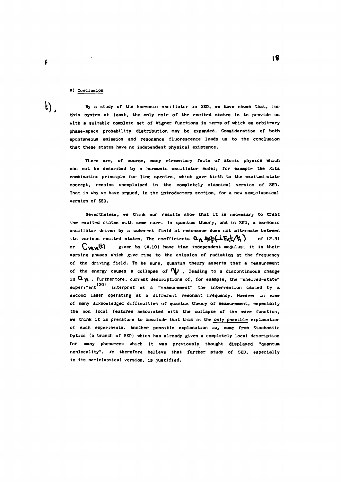# **V) Conclusion**

**By a study of the harmonic oscillator in SED, we have shown that, for this system at least, the only role of the excited states is to provide us with a suitable complete set of Wigner functions in terms of which an arbitrary phase-space probability distribution may be expanded. Consideration of both spontaneous emission and resonance fluorescence leads us to the conclusion that these states have no independent physical existence.**

**There are, of course, many elementary facts of atomic physics which can not be described by a harmonic oscillator model; for example the Ritz combination principle for line spectra, which gave birth to the excited-state concept, remains unexplained in the completely classical version of SED. That is why we have argued, in the introductory section, for a new semiclassical version of SED.**

**Nevertheless, we think our results show that it is necessary to treat the excited states with some care. In quantum theory, and in SED, a harmonic oscillator driven by a coherent field at resonance does not alternate between** its various excited states. The coefficients  $Q_{\mathbf{M}} \mathbf{1} \mathbf{p} \left( -\mathbf{k} \mathbf{E}_{\mathbf{M}} \mathbf{t} / \mathbf{k} \right)$  of (2.3) or  $\binom{m}{k}$  given by (4.10) have time independent modulus; it is their **varying phases which give rise to the emission of radiation at the frequency of the driving field. To be sure, quantum theory asserts that a measurement** of the energy causes a collapse of  $\mathbb W$ , leading to a discontinuous change in  $\alpha_{\mathcal{N}}$ . Furthermore, current descriptions of, for example, the "shelved-state" experiment<sup>(20)</sup> interpret as a "measurement" the intervention caused by a **second laser operating at a different resonant frequency. However in view of many acknowledged difficulties of quantum theory of measurement, especially the non local features associated with the collapse of the wave function, we think it is premature to conclude that this is the only possible explanation of such experiments. Anocher possible explanation may come from Stochastic Optics (a branch of SED) which has already given a completely local description for many phenomena which it was previously thought displayed "quantum** nonlocality". We therefore believe that further study of SED, especially **in its semielassical version, is justified.**

 $t)$ .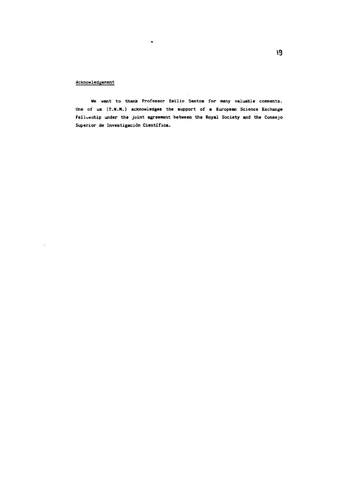# Acknowledgement

We want to thank Professor Emilio Santos for many valuable comments. One of us (T.W.M.) acknowledges the support of a European Science Exchange Fellu«:;hip under the joint **agreement between the Royal** Society and **the** Consejo Superior de Investigación Científica.

 $\bullet$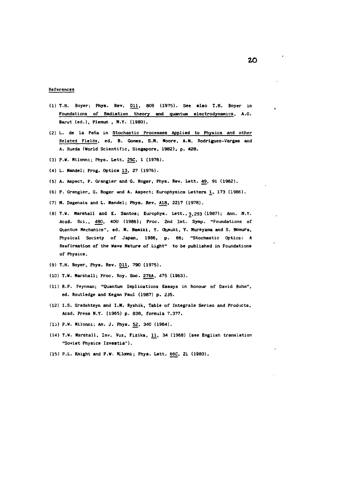#### References

- (1) T.H. Boyer; Phys. Rev. D11, 809 (1975). See also T.H. Boyer in Foundations of Radiation theory and quantum electrodynamics, A.O. Barut (ed.), Plemun , N.Y. (1980).
- (2) L. de Ia Pena in Stochastic Processes Applied to Physics and other Belated Fields, ed. B. Gomez, S.M. Moore, A.M. Rodriguez-Vargas and A. Rueda (World Scientific, Singapore, 1982), p. **428.**
- (3) P.W. Milonni; Phys. Lett. 25Ç, 1 (1976).
- (4) L. Mandei; Prog. Optics 13, 27 (1976).
- (5) A. Aspect, P. Grangier and G. Roger, Phys. Rev. Lett. 49, 91 (1982).
- (6) P. Grangier, G. Roger and A. Aspect; Europhysics Letters 1, 173 (1986).
- (7) M. Dagenais and L. Mandei; Phys. Rev. A18, 2217 (1978).
- (8) T.W. Marshall and E. Santos; Europhys. Lett., 3,293 (1987); Ann. N.Y. Acad. Sci., 480, 400 (1986); Proc. 2nd Int. Symp. "Foundations of Quantum Mechanics", ed. M. Namiki, Y. Ohmuki, Y. Murayama and S. Nomura, Physical Society of Japan, 1986, p. 66; "Stochastic Optics: A Reafirmation of the Vave Nature of Light" to be published in Foundations of Physics.
- (9) T.H. Boyer, Phys. Rev. D11, 790 (1975).
- (10) T.W. Marshall; Proc. Roy. Soe. 276A, 475 (1963).
- (11) R.P. Feynman; "Quantum Implications Essays in honour of David Bohm", ed. Routledge and Kegan Paul (1987) p. 235.
- (12) I.S. Gradshteyn and I.M. Ryzhik, Table of Integrals Series and Products, Acad. Press N.Y. (1965) p. 838, formula 7.377.
- (13) P.W. Milonni; Am. J. Phys. 52, 340 (1984).
- (14) T.W. Marshall, Izv. Vuz, Fizika, 11, 34 (1968) (see English translation "Soviet Physics Izvestia").
- (15) P.L. Knight and P.W. MUcmi; Phys. Lett. 66C, 21 (1980).